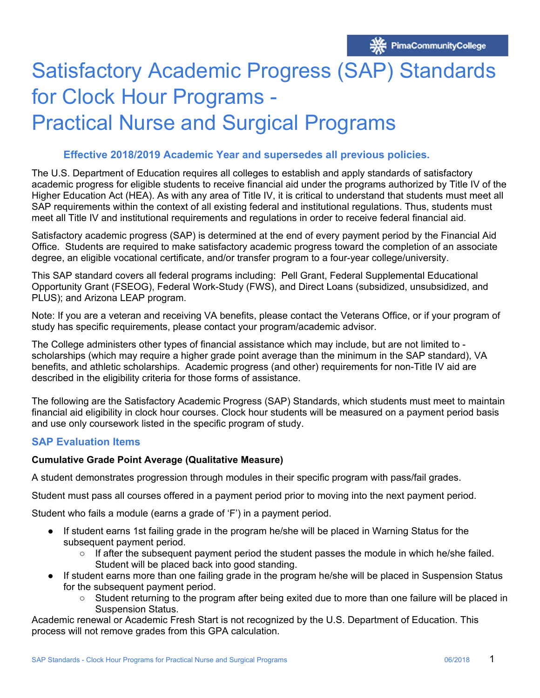# Satisfactory Academic Progress (SAP) Standards for Clock Hour Programs -

# Practical Nurse and Surgical Programs

#### **Effective 2018/2019 Academic Year and supersedes all previous policies.**

The U.S. Department of Education requires all colleges to establish and apply standards of satisfactory academic progress for eligible students to receive financial aid under the programs authorized by Title IV of the Higher Education Act (HEA). As with any area of Title IV, it is critical to understand that students must meet all SAP requirements within the context of all existing federal and institutional regulations. Thus, students must meet all Title IV and institutional requirements and regulations in order to receive federal financial aid.

Satisfactory academic progress (SAP) is determined at the end of every payment period by the Financial Aid Office. Students are required to make satisfactory academic progress toward the completion of an associate degree, an eligible vocational certificate, and/or transfer program to a four-year college/university.

This SAP standard covers all federal programs including: Pell Grant, Federal Supplemental Educational Opportunity Grant (FSEOG), Federal Work-Study (FWS), and Direct Loans (subsidized, unsubsidized, and PLUS); and Arizona LEAP program.

Note: If you are a veteran and receiving VA benefits, please contact the Veterans Office, or if your program of study has specific requirements, please contact your program/academic advisor.

 benefits, and athletic scholarships. Academic progress (and other) requirements for non-Title IV aid are The College administers other types of financial assistance which may include, but are not limited to scholarships (which may require a higher grade point average than the minimum in the SAP standard), VA described in the eligibility criteria for those forms of assistance.

The following are the Satisfactory Academic Progress (SAP) Standards, which students must meet to maintain financial aid eligibility in clock hour courses. Clock hour students will be measured on a payment period basis and use only coursework listed in the specific program of study.

#### **SAP Evaluation Items**

#### **Cumulative Grade Point Average (Qualitative Measure)**

A student demonstrates progression through modules in their specific program with pass/fail grades.

Student must pass all courses offered in a payment period prior to moving into the next payment period.

Student who fails a module (earns a grade of 'F') in a payment period.

- If student earns 1st failing grade in the program he/she will be placed in Warning Status for the subsequent payment period.
	- $\circ$  If after the subsequent payment period the student passes the module in which he/she failed. Student will be placed back into good standing.
- If student earns more than one failing grade in the program he/she will be placed in Suspension Status for the subsequent payment period.
	- Student returning to the program after being exited due to more than one failure will be placed in Suspension Status.

Academic renewal or Academic Fresh Start is not recognized by the U.S. Department of Education. This process will not remove grades from this GPA calculation.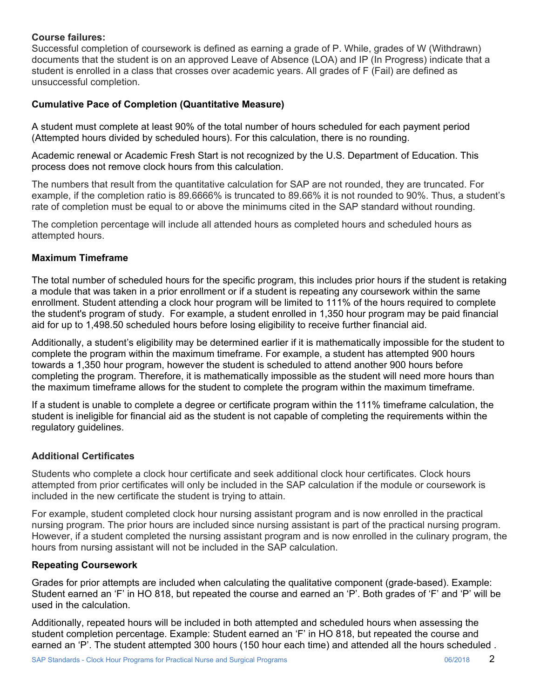#### **Course failures:**

Successful completion of coursework is defined as earning a grade of P. While, grades of W (Withdrawn) documents that the student is on an approved Leave of Absence (LOA) and IP (In Progress) indicate that a student is enrolled in a class that crosses over academic years. All grades of F (Fail) are defined as unsuccessful completion.

## **Cumulative Pace of Completion (Quantitative Measure)**

A student must complete at least 90% of the total number of hours scheduled for each payment period (Attempted hours divided by scheduled hours). For this calculation, there is no rounding.

Academic renewal or Academic Fresh Start is not recognized by the U.S. Department of Education. This process does not remove clock hours from this calculation.

The numbers that result from the quantitative calculation for SAP are not rounded, they are truncated. For example, if the completion ratio is 89.6666% is truncated to 89.66% it is not rounded to 90%. Thus, a student's rate of completion must be equal to or above the minimums cited in the SAP standard without rounding.

The completion percentage will include all attended hours as completed hours and scheduled hours as attempted hours.

#### **Maximum Timeframe**

The total number of scheduled hours for the specific program, this includes prior hours if the student is retaking a module that was taken in a prior enrollment or if a student is repeating any coursework within the same enrollment. Student attending a clock hour program will be limited to 111% of the hours required to complete the student's program of study. For example, a student enrolled in 1,350 hour program may be paid financial aid for up to 1,498.50 scheduled hours before losing eligibility to receive further financial aid.

Additionally, a student's eligibility may be determined earlier if it is mathematically impossible for the student to complete the program within the maximum timeframe. For example, a student has attempted 900 hours towards a 1,350 hour program, however the student is scheduled to attend another 900 hours before completing the program. Therefore, it is mathematically impossible as the student will need more hours than the maximum timeframe allows for the student to complete the program within the maximum timeframe.

If a student is unable to complete a degree or certificate program within the 111% timeframe calculation, the student is ineligible for financial aid as the student is not capable of completing the requirements within the regulatory guidelines.

#### **Additional Certificates**

Students who complete a clock hour certificate and seek additional clock hour certificates. Clock hours attempted from prior certificates will only be included in the SAP calculation if the module or coursework is included in the new certificate the student is trying to attain.

For example, student completed clock hour nursing assistant program and is now enrolled in the practical nursing program. The prior hours are included since nursing assistant is part of the practical nursing program. However, if a student completed the nursing assistant program and is now enrolled in the culinary program, the hours from nursing assistant will not be included in the SAP calculation.

#### **Repeating Coursework**

Grades for prior attempts are included when calculating the qualitative component (grade-based). Example: Student earned an 'F' in HO 818, but repeated the course and earned an 'P'. Both grades of 'F' and 'P' will be used in the calculation.

Additionally, repeated hours will be included in both attempted and scheduled hours when assessing the student completion percentage. Example: Student earned an 'F' in HO 818, but repeated the course and earned an 'P'. The student attempted 300 hours (150 hour each time) and attended all the hours scheduled .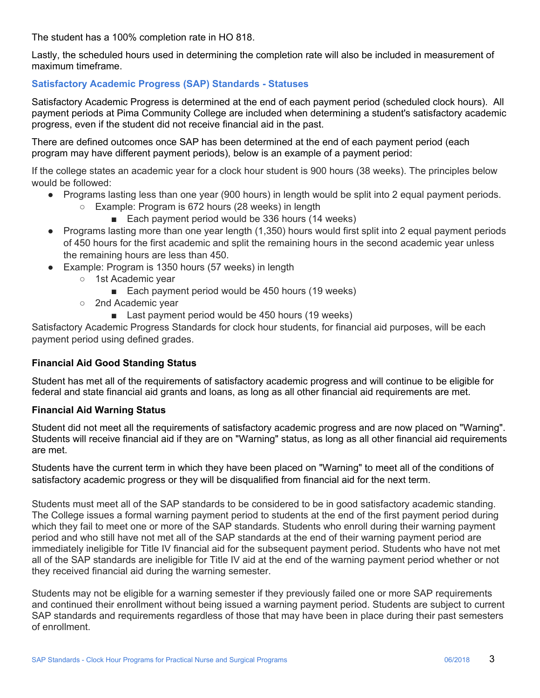The student has a 100% completion rate in HO 818.

Lastly, the scheduled hours used in determining the completion rate will also be included in measurement of maximum timeframe.

# **Satisfactory Academic Progress (SAP) Standards - Statuses**

Satisfactory Academic Progress is determined at the end of each payment period (scheduled clock hours). All payment periods at Pima Community College are included when determining a student's satisfactory academic progress, even if the student did not receive financial aid in the past.

There are defined outcomes once SAP has been determined at the end of each payment period (each program may have different payment periods), below is an example of a payment period:

If the college states an academic year for a clock hour student is 900 hours (38 weeks). The principles below would be followed:

- Programs lasting less than one year (900 hours) in length would be split into 2 equal payment periods.
	- Example: Program is 672 hours (28 weeks) in length
		- Each payment period would be 336 hours (14 weeks)
- Programs lasting more than one year length (1,350) hours would first split into 2 equal payment periods of 450 hours for the first academic and split the remaining hours in the second academic year unless the remaining hours are less than 450.
- Example: Program is 1350 hours (57 weeks) in length
	- 1st Academic year
		- Each payment period would be 450 hours (19 weeks)
	- 2nd Academic year
		- Last payment period would be 450 hours (19 weeks)

Satisfactory Academic Progress Standards for clock hour students, for financial aid purposes, will be each payment period using defined grades.

#### **Financial Aid Good Standing Status**

Student has met all of the requirements of satisfactory academic progress and will continue to be eligible for federal and state financial aid grants and loans, as long as all other financial aid requirements are met.

#### **Financial Aid Warning Status**

Student did not meet all the requirements of satisfactory academic progress and are now placed on "Warning". Students will receive financial aid if they are on "Warning" status, as long as all other financial aid requirements are met.

Students have the current term in which they have been placed on "Warning" to meet all of the conditions of satisfactory academic progress or they will be disqualified from financial aid for the next term.

Students must meet all of the SAP standards to be considered to be in good satisfactory academic standing. The College issues a formal warning payment period to students at the end of the first payment period during which they fail to meet one or more of the SAP standards. Students who enroll during their warning payment period and who still have not met all of the SAP standards at the end of their warning payment period are immediately ineligible for Title IV financial aid for the subsequent payment period. Students who have not met all of the SAP standards are ineligible for Title IV aid at the end of the warning payment period whether or not they received financial aid during the warning semester.

Students may not be eligible for a warning semester if they previously failed one or more SAP requirements and continued their enrollment without being issued a warning payment period. Students are subject to current SAP standards and requirements regardless of those that may have been in place during their past semesters of enrollment.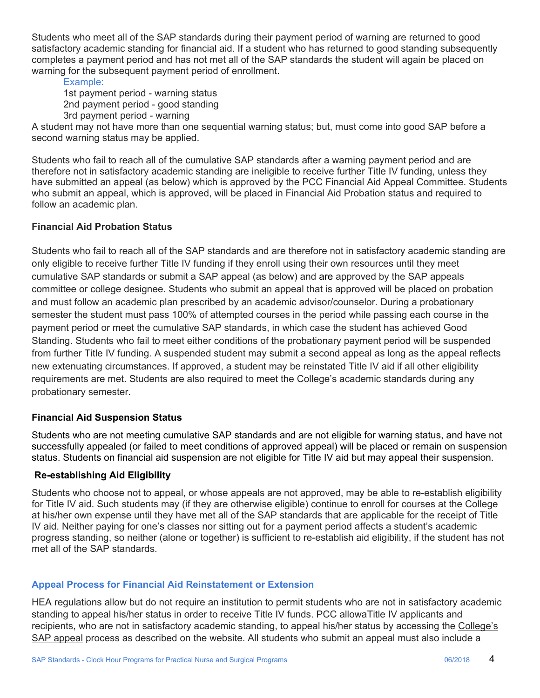Students who meet all of the SAP standards during their payment period of warning are returned to good satisfactory academic standing for financial aid. If a student who has returned to good standing subsequently completes a payment period and has not met all of the SAP standards the student will again be placed on warning for the subsequent payment period of enrollment.

Example: 1st payment period - warning status 2nd payment period - good standing 3rd payment period - warning

A student may not have more than one sequential warning status; but, must come into good SAP before a second warning status may be applied.

Students who fail to reach all of the cumulative SAP standards after a warning payment period and are therefore not in satisfactory academic standing are ineligible to receive further Title IV funding, unless they have submitted an appeal (as below) which is approved by the PCC Financial Aid Appeal Committee. Students who submit an appeal, which is approved, will be placed in Financial Aid Probation status and required to follow an academic plan.

# **Financial Aid Probation Status**

Students who fail to reach all of the SAP standards and are therefore not in satisfactory academic standing are only eligible to receive further Title IV funding if they enroll using their own resources until they meet cumulative SAP standards or submit a SAP appeal (as below) and are approved by the SAP appeals committee or college designee. Students who submit an appeal that is approved will be placed on probation and must follow an academic plan prescribed by an academic advisor/counselor. During a probationary semester the student must pass 100% of attempted courses in the period while passing each course in the payment period or meet the cumulative SAP standards, in which case the student has achieved Good Standing. Students who fail to meet either conditions of the probationary payment period will be suspended from further Title IV funding. A suspended student may submit a second appeal as long as the appeal reflects new extenuating circumstances. If approved, a student may be reinstated Title IV aid if all other eligibility requirements are met. Students are also required to meet the College's academic standards during any probationary semester.

#### **Financial Aid Suspension Status**

Students who are not meeting cumulative SAP standards and are not eligible for warning status, and have not successfully appealed (or failed to meet conditions of approved appeal) will be placed or remain on suspension status. Students on financial aid suspension are not eligible for Title IV aid but may appeal their suspension.

#### **Re-establishing Aid Eligibility**

Students who choose not to appeal, or whose appeals are not approved, may be able to re-establish eligibility for Title IV aid. Such students may (if they are otherwise eligible) continue to enroll for courses at the College at his/her own expense until they have met all of the SAP standards that are applicable for the receipt of Title IV aid. Neither paying for one's classes nor sitting out for a payment period affects a student's academic progress standing, so neither (alone or together) is sufficient to re-establish aid eligibility, if the student has not met all of the SAP standards.

#### **Appeal Process for Financial Aid Reinstatement or Extension**

HEA regulations allow but do not require an institution to permit students who are not in satisfactory academic standing to appeal his/her status in order to receive Title IV funds. PCC allowaTitle IV applicants and recipients, who are not in satisfactory academic standing, to appeal his/her status by accessing the College's SAP appeal process as described on the website. All students who submit an appeal must also include a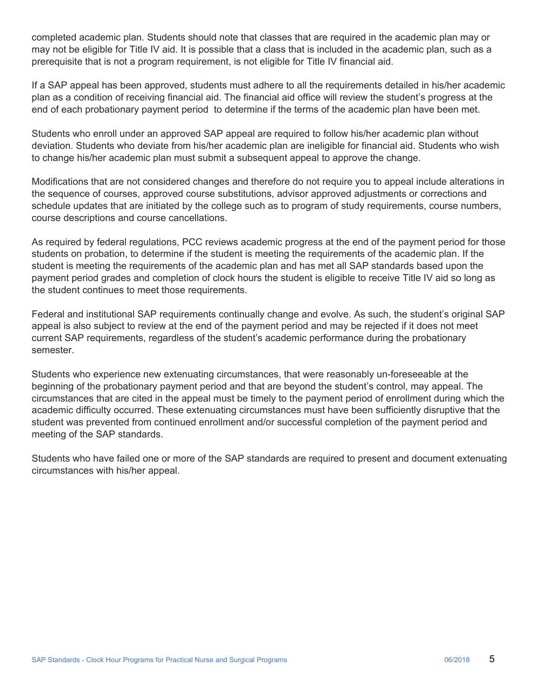prerequisite that is not a program requirement, is not eligible for Title IV financial aid. completed academic plan. Students should note that classes that are required in the academic plan may or may not be eligible for Title IV aid. It is possible that a class that is included in the academic plan, such as a

If a SAP appeal has been approved, students must adhere to all the requirements detailed in his/her academic plan as a condition of receiving financial aid. The financial aid office will review the student's progress at the end of each probationary payment period to determine if the terms of the academic plan have been met.

Students who enroll under an approved SAP appeal are required to follow his/her academic plan without deviation. Students who deviate from his/her academic plan are ineligible for financial aid. Students who wish to change his/her academic plan must submit a subsequent appeal to approve the change.

Modifications that are not considered changes and therefore do not require you to appeal include alterations in the sequence of courses, approved course substitutions, advisor approved adjustments or corrections and schedule updates that are initiated by the college such as to program of study requirements, course numbers, course descriptions and course cancellations.

As required by federal regulations, PCC reviews academic progress at the end of the payment period for those students on probation, to determine if the student is meeting the requirements of the academic plan. If the student is meeting the requirements of the academic plan and has met all SAP standards based upon the payment period grades and completion of clock hours the student is eligible to receive Title IV aid so long as the student continues to meet those requirements.

Federal and institutional SAP requirements continually change and evolve. As such, the student's original SAP appeal is also subject to review at the end of the payment period and may be rejected if it does not meet current SAP requirements, regardless of the student's academic performance during the probationary semester.

Students who experience new extenuating circumstances, that were reasonably un-foreseeable at the beginning of the probationary payment period and that are beyond the student's control, may appeal. The circumstances that are cited in the appeal must be timely to the payment period of enrollment during which the academic difficulty occurred. These extenuating circumstances must have been sufficiently disruptive that the student was prevented from continued enrollment and/or successful completion of the payment period and meeting of the SAP standards.

Students who have failed one or more of the SAP standards are required to present and document extenuating circumstances with his/her appeal.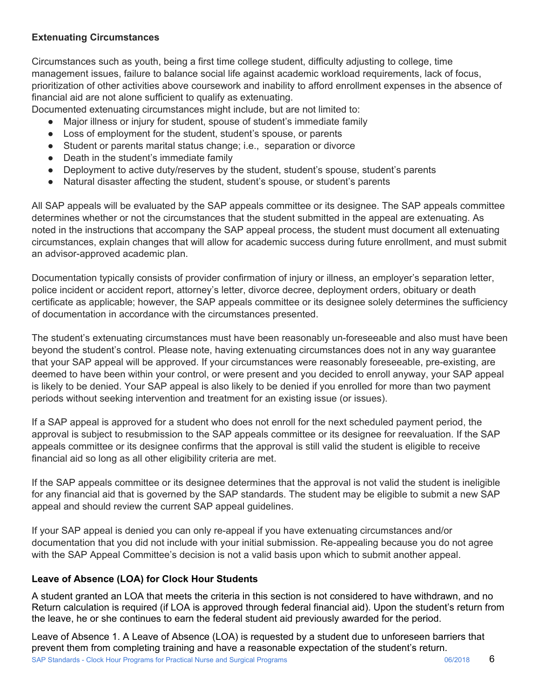# **Extenuating Circumstances**

Circumstances such as youth, being a first time college student, difficulty adjusting to college, time management issues, failure to balance social life against academic workload requirements, lack of focus, prioritization of other activities above coursework and inability to afford enrollment expenses in the absence of financial aid are not alone sufficient to qualify as extenuating.

Documented extenuating circumstances might include, but are not limited to:

- Major illness or injury for student, spouse of student's immediate family
- Loss of employment for the student, student's spouse, or parents
- Student or parents marital status change; i.e., separation or divorce
- Death in the student's immediate family
- Deployment to active duty/reserves by the student, student's spouse, student's parents
- Natural disaster affecting the student, student's spouse, or student's parents

All SAP appeals will be evaluated by the SAP appeals committee or its designee. The SAP appeals committee determines whether or not the circumstances that the student submitted in the appeal are extenuating. As noted in the instructions that accompany the SAP appeal process, the student must document all extenuating circumstances, explain changes that will allow for academic success during future enrollment, and must submit an advisor-approved academic plan.

Documentation typically consists of provider confirmation of injury or illness, an employer's separation letter, police incident or accident report, attorney's letter, divorce decree, deployment orders, obituary or death certificate as applicable; however, the SAP appeals committee or its designee solely determines the sufficiency of documentation in accordance with the circumstances presented.

The student's extenuating circumstances must have been reasonably un-foreseeable and also must have been beyond the student's control. Please note, having extenuating circumstances does not in any way guarantee that your SAP appeal will be approved. If your circumstances were reasonably foreseeable, pre-existing, are deemed to have been within your control, or were present and you decided to enroll anyway, your SAP appeal is likely to be denied. Your SAP appeal is also likely to be denied if you enrolled for more than two payment periods without seeking intervention and treatment for an existing issue (or issues).

If a SAP appeal is approved for a student who does not enroll for the next scheduled payment period, the approval is subject to resubmission to the SAP appeals committee or its designee for reevaluation. If the SAP appeals committee or its designee confirms that the approval is still valid the student is eligible to receive financial aid so long as all other eligibility criteria are met.

If the SAP appeals committee or its designee determines that the approval is not valid the student is ineligible for any financial aid that is governed by the SAP standards. The student may be eligible to submit a new SAP appeal and should review the current SAP appeal guidelines.

If your SAP appeal is denied you can only re-appeal if you have extenuating circumstances and/or documentation that you did not include with your initial submission. Re-appealing because you do not agree with the SAP Appeal Committee's decision is not a valid basis upon which to submit another appeal.

# **Leave of Absence (LOA) for Clock Hour Students**

A student granted an LOA that meets the criteria in this section is not considered to have withdrawn, and no Return calculation is required (if LOA is approved through federal financial aid). Upon the student's return from the leave, he or she continues to earn the federal student aid previously awarded for the period.

Leave of Absence 1. A Leave of Absence (LOA) is requested by a student due to unforeseen barriers that prevent them from completing training and have a reasonable expectation of the student's return.